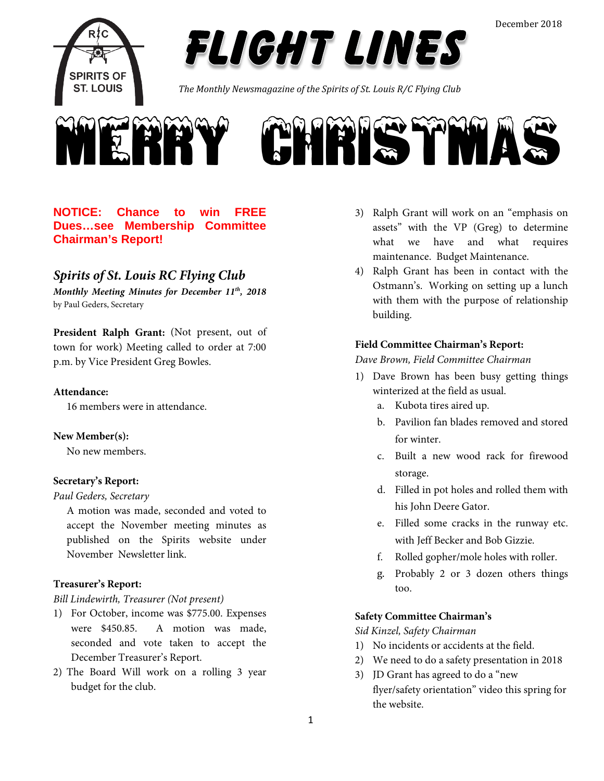

*FLIGHT LINES* 

*The Monthly Newsmagazine of the Spirits of St. Louis R/C Flying Club*



# **NOTICE: Chance to win FREE Dues…see Membership Committee Chairman's Report!**

# *Spirits of St. Louis RC Flying Club*

*Monthly Meeting Minutes for December 11th, 2018* by Paul Geders, Secretary

**President Ralph Grant:** (Not present, out of town for work) Meeting called to order at 7:00 p.m. by Vice President Greg Bowles.

#### **Attendance:**

16 members were in attendance.

#### **New Member(s):**

No new members.

#### **Secretary's Report:**

#### *Paul Geders, Secretary*

A motion was made, seconded and voted to accept the November meeting minutes as published on the Spirits website under November Newsletter link.

#### **Treasurer's Report:**

#### *Bill Lindewirth, Treasurer (Not present)*

- 1) For October, income was \$775.00. Expenses were \$450.85. A motion was made, seconded and vote taken to accept the December Treasurer's Report.
- 2) The Board Will work on a rolling 3 year budget for the club.
- 3) Ralph Grant will work on an "emphasis on assets" with the VP (Greg) to determine what we have and what requires maintenance. Budget Maintenance.
- 4) Ralph Grant has been in contact with the Ostmann's. Working on setting up a lunch with them with the purpose of relationship building.

#### **Field Committee Chairman's Report:**

*Dave Brown, Field Committee Chairman*

- 1) Dave Brown has been busy getting things winterized at the field as usual.
	- a. Kubota tires aired up.
	- b. Pavilion fan blades removed and stored for winter.
	- c. Built a new wood rack for firewood storage.
	- d. Filled in pot holes and rolled them with his John Deere Gator.
	- e. Filled some cracks in the runway etc. with Jeff Becker and Bob Gizzie.
	- f. Rolled gopher/mole holes with roller.
	- g. Probably 2 or 3 dozen others things too.

# **Safety Committee Chairman's**

*Sid Kinzel, Safety Chairman*

- 1) No incidents or accidents at the field.
- 2) We need to do a safety presentation in 2018
- 3) JD Grant has agreed to do a "new flyer/safety orientation" video this spring for the website.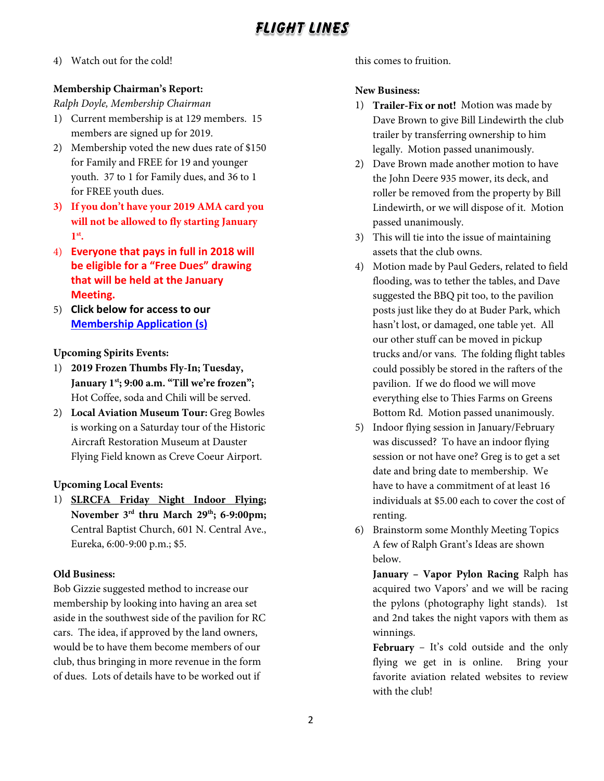# *FLIGHT LINES*

4) Watch out for the cold!

# **Membership Chairman's Report:**

*Ralph Doyle, Membership Chairman*

- 1) Current membership is at 129 members. 15 members are signed up for 2019.
- 2) Membership voted the new dues rate of \$150 for Family and FREE for 19 and younger youth. 37 to 1 for Family dues, and 36 to 1 for FREE youth dues.
- **3) If you don't have your 2019 AMA card you will not be allowed to fly starting January 1st.**
- 4) **Everyone that pays in full in 2018 will be eligible for a "Free Dues" drawing that will be held at the January Meeting.**
- 5) **Click below for access to our [Membership Application](http://spiritsofstl.com/membership.php) (s)**

# **Upcoming Spirits Events:**

- 1) **2019 Frozen Thumbs Fly-In; Tuesday, January 1st; 9:00 a.m. "Till we're frozen";**  Hot Coffee, soda and Chili will be served.
- 2) **Local Aviation Museum Tour:** Greg Bowles is working on a Saturday tour of the Historic Aircraft Restoration Museum at Dauster Flying Field known as Creve Coeur Airport.

# **Upcoming Local Events:**

1) **SLRCFA Friday Night Indoor Flying; November 3rd thru March 29th; 6-9:00pm;** Central Baptist Church, 601 N. Central Ave., Eureka, 6:00-9:00 p.m.; \$5.

# **Old Business:**

Bob Gizzie suggested method to increase our membership by looking into having an area set aside in the southwest side of the pavilion for RC cars. The idea, if approved by the land owners, would be to have them become members of our club, thus bringing in more revenue in the form of dues. Lots of details have to be worked out if

this comes to fruition.

# **New Business:**

- 1) **Trailer-Fix or not!** Motion was made by Dave Brown to give Bill Lindewirth the club trailer by transferring ownership to him legally. Motion passed unanimously.
- 2) Dave Brown made another motion to have the John Deere 935 mower, its deck, and roller be removed from the property by Bill Lindewirth, or we will dispose of it. Motion passed unanimously.
- 3) This will tie into the issue of maintaining assets that the club owns.
- 4) Motion made by Paul Geders, related to field flooding, was to tether the tables, and Dave suggested the BBQ pit too, to the pavilion posts just like they do at Buder Park, which hasn't lost, or damaged, one table yet. All our other stuff can be moved in pickup trucks and/or vans. The folding flight tables could possibly be stored in the rafters of the pavilion. If we do flood we will move everything else to Thies Farms on Greens Bottom Rd. Motion passed unanimously.
- 5) Indoor flying session in January/February was discussed? To have an indoor flying session or not have one? Greg is to get a set date and bring date to membership. We have to have a commitment of at least 16 individuals at \$5.00 each to cover the cost of renting.
- 6) Brainstorm some Monthly Meeting Topics A few of Ralph Grant's Ideas are shown below.

**January – Vapor Pylon Racing** Ralph has acquired two Vapors' and we will be racing the pylons (photography light stands). 1st and 2nd takes the night vapors with them as winnings.

**February** – It's cold outside and the only flying we get in is online. Bring your favorite aviation related websites to review with the club!